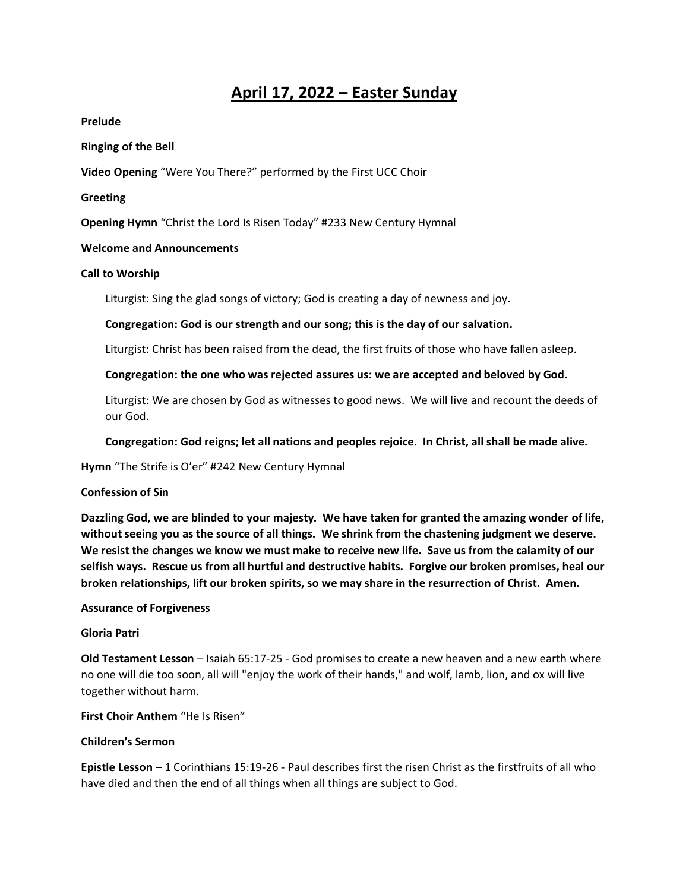# **April 17, 2022 – Easter Sunday**

## **Prelude**

## **Ringing of the Bell**

**Video Opening** "Were You There?" performed by the First UCC Choir

## **Greeting**

**Opening Hymn** "Christ the Lord Is Risen Today" #233 New Century Hymnal

# **Welcome and Announcements**

## **Call to Worship**

Liturgist: Sing the glad songs of victory; God is creating a day of newness and joy.

## **Congregation: God is our strength and our song; this is the day of our salvation.**

Liturgist: Christ has been raised from the dead, the first fruits of those who have fallen asleep.

## **Congregation: the one who was rejected assures us: we are accepted and beloved by God.**

Liturgist: We are chosen by God as witnesses to good news. We will live and recount the deeds of our God.

**Congregation: God reigns; let all nations and peoples rejoice. In Christ, all shall be made alive.** 

**Hymn** "The Strife is O'er" #242 New Century Hymnal

#### **Confession of Sin**

**Dazzling God, we are blinded to your majesty. We have taken for granted the amazing wonder of life, without seeing you as the source of all things. We shrink from the chastening judgment we deserve. We resist the changes we know we must make to receive new life. Save us from the calamity of our selfish ways. Rescue us from all hurtful and destructive habits. Forgive our broken promises, heal our broken relationships, lift our broken spirits, so we may share in the resurrection of Christ. Amen.**

#### **Assurance of Forgiveness**

#### **Gloria Patri**

**Old Testament Lesson** – Isaiah 65:17-25 - God promises to create a new heaven and a new earth where no one will die too soon, all will "enjoy the work of their hands," and wolf, lamb, lion, and ox will live together without harm.

**First Choir Anthem** "He Is Risen"

# **Children's Sermon**

**Epistle Lesson** – 1 Corinthians 15:19-26 - Paul describes first the risen Christ as the firstfruits of all who have died and then the end of all things when all things are subject to God.